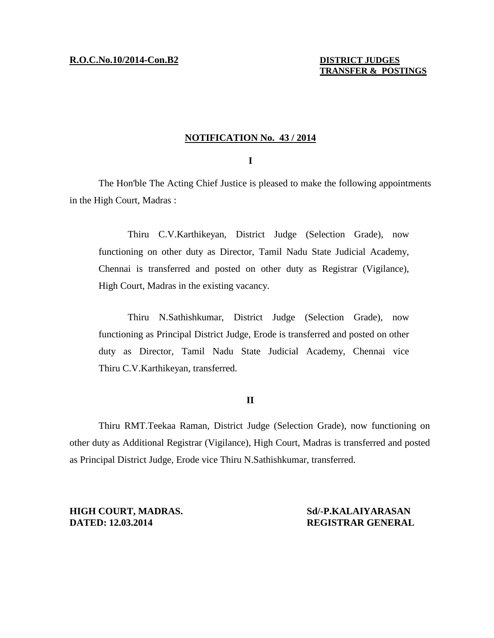## **NOTIFICATION No. 43 / 2014**

## **I**

The Hon'ble The Acting Chief Justice is pleased to make the following appointments in the High Court, Madras :

Thiru C.V.Karthikeyan, District Judge (Selection Grade), now functioning on other duty as Director, Tamil Nadu State Judicial Academy, Chennai is transferred and posted on other duty as Registrar (Vigilance), High Court, Madras in the existing vacancy.

Thiru N.Sathishkumar, District Judge (Selection Grade), now functioning as Principal District Judge, Erode is transferred and posted on other duty as Director, Tamil Nadu State Judicial Academy, Chennai vice Thiru C.V.Karthikeyan, transferred.

## **II**

Thiru RMT.Teekaa Raman, District Judge (Selection Grade), now functioning on other duty as Additional Registrar (Vigilance), High Court, Madras is transferred and posted as Principal District Judge, Erode vice Thiru N.Sathishkumar, transferred.

**HIGH COURT, MADRAS.** Sd/-P.KALAIYARASAN **DATED: 12.03.2014 REGISTRAR GENERAL**